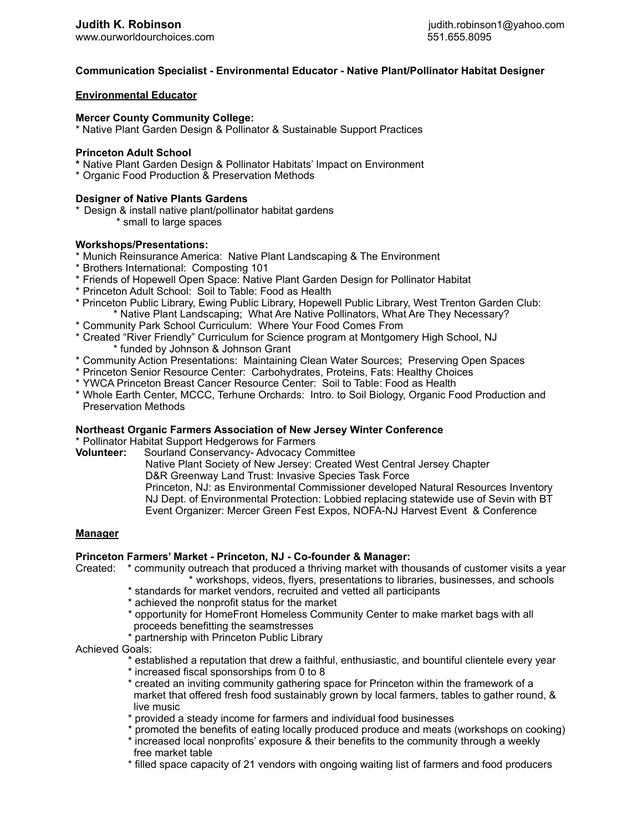[www.ourworldourchoices.com](http://www.ourworldourchoices.com) 551.655.8095

# **Communication Specialist - Environmental Educator - Native Plant/Pollinator Habitat Designer**

# **Environmental Educator**

#### **Mercer County Community College:**

\* Native Plant Garden Design & Pollinator & Sustainable Support Practices

#### **Princeton Adult School**

- **\*** Native Plant Garden Design & Pollinator Habitats' Impact on Environment
- \* Organic Food Production & Preservation Methods

# **Designer of Native Plants Gardens**

- \* Design & install native plant/pollinator habitat gardens
	- \* small to large spaces

# **Workshops/Presentations:**

- \* Munich Reinsurance America: Native Plant Landscaping & The Environment
- \* Brothers International: Composting 101
- \* Friends of Hopewell Open Space: Native Plant Garden Design for Pollinator Habitat
- \* Princeton Adult School: Soil to Table: Food as Health
- \* Princeton Public Library, Ewing Public Library, Hopewell Public Library, West Trenton Garden Club: \* Native Plant Landscaping; What Are Native Pollinators, What Are They Necessary?
- \* Community Park School Curriculum: Where Your Food Comes From
- \* Created "River Friendly" Curriculum for Science program at Montgomery High School, NJ \* funded by Johnson & Johnson Grant
- \* Community Action Presentations: Maintaining Clean Water Sources; Preserving Open Spaces
- \* Princeton Senior Resource Center: Carbohydrates, Proteins, Fats: Healthy Choices
- \* YWCA Princeton Breast Cancer Resource Center: Soil to Table: Food as Health
- \* Whole Earth Center, MCCC, Terhune Orchards: Intro. to Soil Biology, Organic Food Production and Preservation Methods

#### **Northeast Organic Farmers Association of New Jersey Winter Conference**

\* Pollinator Habitat Support Hedgerows for Farmers

**Volunteer:** Sourland Conservancy- Advocacy Committee

Native Plant Society of New Jersey: Created West Central Jersey Chapter

D&R Greenway Land Trust: Invasive Species Task Force

 Princeton, NJ: as Environmental Commissioner developed Natural Resources Inventory NJ Dept. of Environmental Protection: Lobbied replacing statewide use of Sevin with BT Event Organizer: Mercer Green Fest Expos, NOFA-NJ Harvest Event & Conference

#### **Manager**

# **Princeton Farmers' Market - Princeton, NJ - Co-founder & Manager:**

Created: \* community outreach that produced a thriving market with thousands of customer visits a year \* workshops, videos, flyers, presentations to libraries, businesses, and schools

- \* standards for market vendors, recruited and vetted all participants
- \* achieved the nonprofit status for the market
- \* opportunity for HomeFront Homeless Community Center to make market bags with all proceeds benefitting the seamstresses
- \* partnership with Princeton Public Library
- Achieved Goals:

\* established a reputation that drew a faithful, enthusiastic, and bountiful clientele every year

- \* increased fiscal sponsorships from 0 to 8
- \* created an inviting community gathering space for Princeton within the framework of a market that offered fresh food sustainably grown by local farmers, tables to gather round, & live music
- \* provided a steady income for farmers and individual food businesses
- \* promoted the benefits of eating locally produced produce and meats (workshops on cooking)
- \* increased local nonprofits' exposure & their benefits to the community through a weekly free market table
- \* filled space capacity of 21 vendors with ongoing waiting list of farmers and food producers